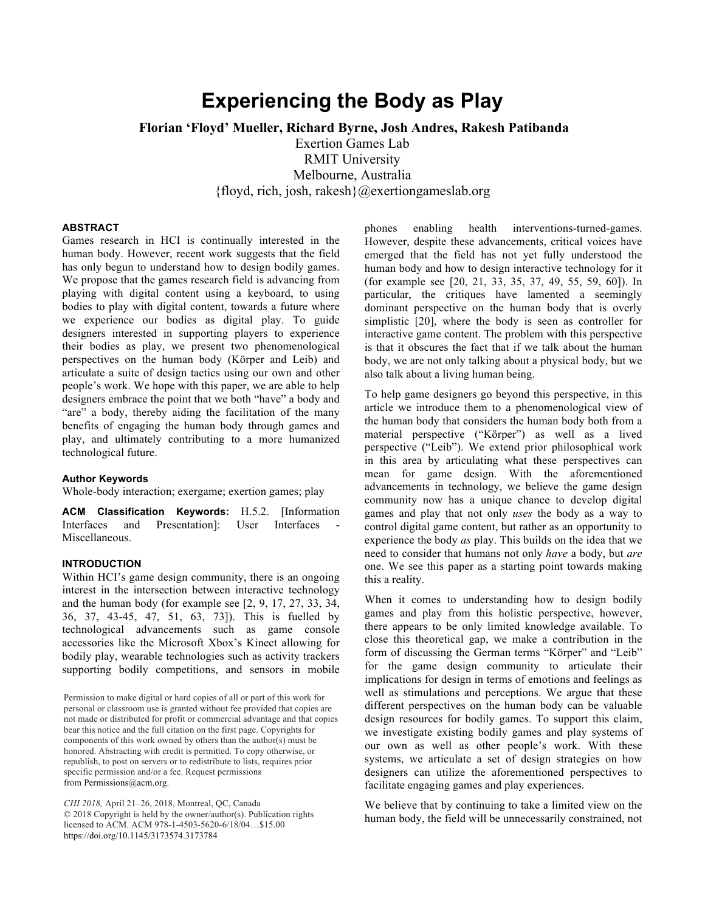# **Experiencing the Body as Play**

**Florian 'Floyd' Mueller, Richard Byrne, Josh Andres, Rakesh Patibanda**

Exertion Games Lab RMIT University Melbourne, Australia {floyd, rich, josh, rakesh}@exertiongameslab.org

### **ABSTRACT**

Games research in HCI is continually interested in the human body. However, recent work suggests that the field has only begun to understand how to design bodily games. We propose that the games research field is advancing from playing with digital content using a keyboard, to using bodies to play with digital content, towards a future where we experience our bodies as digital play. To guide designers interested in supporting players to experience their bodies as play, we present two phenomenological perspectives on the human body (Körper and Leib) and articulate a suite of design tactics using our own and other people's work. We hope with this paper, we are able to help designers embrace the point that we both "have" a body and "are" a body, thereby aiding the facilitation of the many benefits of engaging the human body through games and play, and ultimately contributing to a more humanized technological future.

#### **Author Keywords**

Whole-body interaction; exergame; exertion games; play

**ACM Classification Keywords:** H.5.2. [Information Interfaces and Presentation]: User Interfaces Miscellaneous.

# **INTRODUCTION**

Within HCI's game design community, there is an ongoing interest in the intersection between interactive technology and the human body (for example see [2, 9, 17, 27, 33, 34, 36, 37, 43-45, 47, 51, 63, 73]). This is fuelled by technological advancements such as game console accessories like the Microsoft Xbox's Kinect allowing for bodily play, wearable technologies such as activity trackers supporting bodily competitions, and sensors in mobile

Permission to make digital or hard copies of all or part of this work for personal or classroom use is granted without fee provided that copies are not made or distributed for profit or commercial advantage and that copies bear this notice and the full citation on the first page. Copyrights for components of this work owned by others than the author(s) must be honored. Abstracting with credit is permitted. To copy otherwise, or republish, to post on servers or to redistribute to lists, requires prior specific permission and/or a fee. Request permissions from Permissions@acm.org.

*CHI 2018,* April 21–26, 2018, Montreal, QC, Canada © 2018 Copyright is held by the owner/author(s). Publication rights licensed to ACM. ACM 978-1-4503-5620-6/18/04…\$15.00 https://doi.org/10.1145/3173574.3173784

phones enabling health interventions-turned-games. However, despite these advancements, critical voices have emerged that the field has not yet fully understood the human body and how to design interactive technology for it (for example see [20, 21, 33, 35, 37, 49, 55, 59, 60]). In particular, the critiques have lamented a seemingly dominant perspective on the human body that is overly simplistic [20], where the body is seen as controller for interactive game content. The problem with this perspective is that it obscures the fact that if we talk about the human body, we are not only talking about a physical body, but we also talk about a living human being.

To help game designers go beyond this perspective, in this article we introduce them to a phenomenological view of the human body that considers the human body both from a material perspective ("Körper") as well as a lived perspective ("Leib"). We extend prior philosophical work in this area by articulating what these perspectives can mean for game design. With the aforementioned advancements in technology, we believe the game design community now has a unique chance to develop digital games and play that not only *uses* the body as a way to control digital game content, but rather as an opportunity to experience the body *as* play. This builds on the idea that we need to consider that humans not only *have* a body, but *are* one. We see this paper as a starting point towards making this a reality.

When it comes to understanding how to design bodily games and play from this holistic perspective, however, there appears to be only limited knowledge available. To close this theoretical gap, we make a contribution in the form of discussing the German terms "Körper" and "Leib" for the game design community to articulate their implications for design in terms of emotions and feelings as well as stimulations and perceptions. We argue that these different perspectives on the human body can be valuable design resources for bodily games. To support this claim, we investigate existing bodily games and play systems of our own as well as other people's work. With these systems, we articulate a set of design strategies on how designers can utilize the aforementioned perspectives to facilitate engaging games and play experiences.

We believe that by continuing to take a limited view on the human body, the field will be unnecessarily constrained, not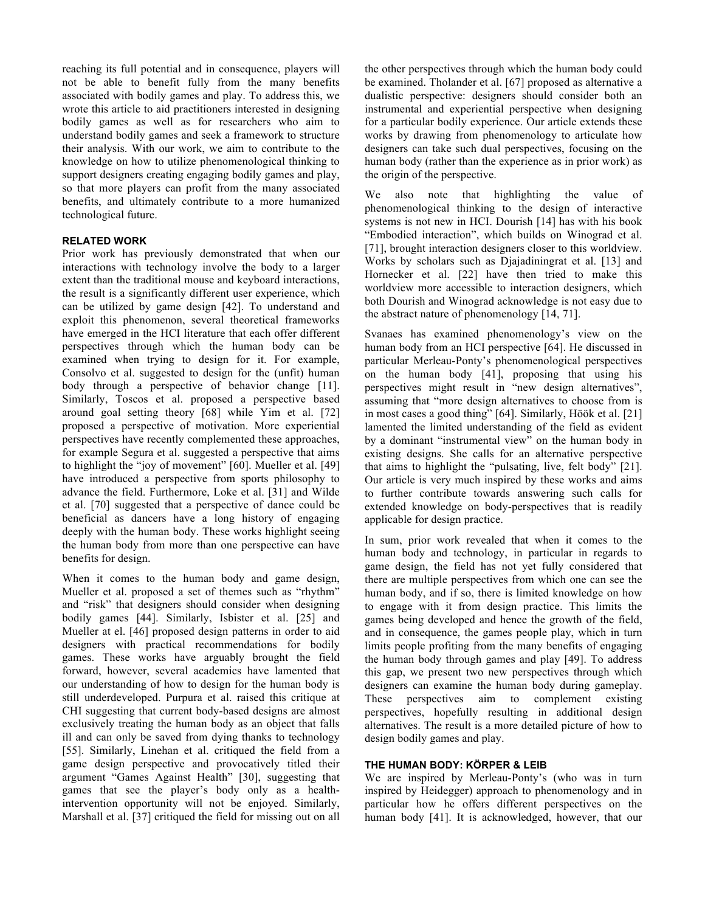reaching its full potential and in consequence, players will not be able to benefit fully from the many benefits associated with bodily games and play. To address this, we wrote this article to aid practitioners interested in designing bodily games as well as for researchers who aim to understand bodily games and seek a framework to structure their analysis. With our work, we aim to contribute to the knowledge on how to utilize phenomenological thinking to support designers creating engaging bodily games and play, so that more players can profit from the many associated benefits, and ultimately contribute to a more humanized technological future.

# **RELATED WORK**

Prior work has previously demonstrated that when our interactions with technology involve the body to a larger extent than the traditional mouse and keyboard interactions, the result is a significantly different user experience, which can be utilized by game design [42]. To understand and exploit this phenomenon, several theoretical frameworks have emerged in the HCI literature that each offer different perspectives through which the human body can be examined when trying to design for it. For example, Consolvo et al. suggested to design for the (unfit) human body through a perspective of behavior change [11]. Similarly, Toscos et al. proposed a perspective based around goal setting theory [68] while Yim et al. [72] proposed a perspective of motivation. More experiential perspectives have recently complemented these approaches, for example Segura et al. suggested a perspective that aims to highlight the "joy of movement" [60]. Mueller et al. [49] have introduced a perspective from sports philosophy to advance the field. Furthermore, Loke et al. [31] and Wilde et al. [70] suggested that a perspective of dance could be beneficial as dancers have a long history of engaging deeply with the human body. These works highlight seeing the human body from more than one perspective can have benefits for design.

When it comes to the human body and game design, Mueller et al. proposed a set of themes such as "rhythm" and "risk" that designers should consider when designing bodily games [44]. Similarly, Isbister et al. [25] and Mueller at el. [46] proposed design patterns in order to aid designers with practical recommendations for bodily games. These works have arguably brought the field forward, however, several academics have lamented that our understanding of how to design for the human body is still underdeveloped. Purpura et al. raised this critique at CHI suggesting that current body-based designs are almost exclusively treating the human body as an object that falls ill and can only be saved from dying thanks to technology [55]. Similarly, Linehan et al. critiqued the field from a game design perspective and provocatively titled their argument "Games Against Health" [30], suggesting that games that see the player's body only as a healthintervention opportunity will not be enjoyed. Similarly, Marshall et al. [37] critiqued the field for missing out on all

the other perspectives through which the human body could be examined. Tholander et al. [67] proposed as alternative a dualistic perspective: designers should consider both an instrumental and experiential perspective when designing for a particular bodily experience. Our article extends these works by drawing from phenomenology to articulate how designers can take such dual perspectives, focusing on the human body (rather than the experience as in prior work) as the origin of the perspective.

We also note that highlighting the value of phenomenological thinking to the design of interactive systems is not new in HCI. Dourish [14] has with his book "Embodied interaction", which builds on Winograd et al. [71], brought interaction designers closer to this worldview. Works by scholars such as Djajadiningrat et al. [13] and Hornecker et al. [22] have then tried to make this worldview more accessible to interaction designers, which both Dourish and Winograd acknowledge is not easy due to the abstract nature of phenomenology [14, 71].

Svanaes has examined phenomenology's view on the human body from an HCI perspective [64]. He discussed in particular Merleau-Ponty's phenomenological perspectives on the human body [41], proposing that using his perspectives might result in "new design alternatives", assuming that "more design alternatives to choose from is in most cases a good thing" [64]. Similarly, Höök et al. [21] lamented the limited understanding of the field as evident by a dominant "instrumental view" on the human body in existing designs. She calls for an alternative perspective that aims to highlight the "pulsating, live, felt body" [21]. Our article is very much inspired by these works and aims to further contribute towards answering such calls for extended knowledge on body-perspectives that is readily applicable for design practice.

In sum, prior work revealed that when it comes to the human body and technology, in particular in regards to game design, the field has not yet fully considered that there are multiple perspectives from which one can see the human body, and if so, there is limited knowledge on how to engage with it from design practice. This limits the games being developed and hence the growth of the field, and in consequence, the games people play, which in turn limits people profiting from the many benefits of engaging the human body through games and play [49]. To address this gap, we present two new perspectives through which designers can examine the human body during gameplay. These perspectives aim to complement existing perspectives, hopefully resulting in additional design alternatives. The result is a more detailed picture of how to design bodily games and play.

# **THE HUMAN BODY: KÖRPER & LEIB**

We are inspired by Merleau-Ponty's (who was in turn inspired by Heidegger) approach to phenomenology and in particular how he offers different perspectives on the human body [41]. It is acknowledged, however, that our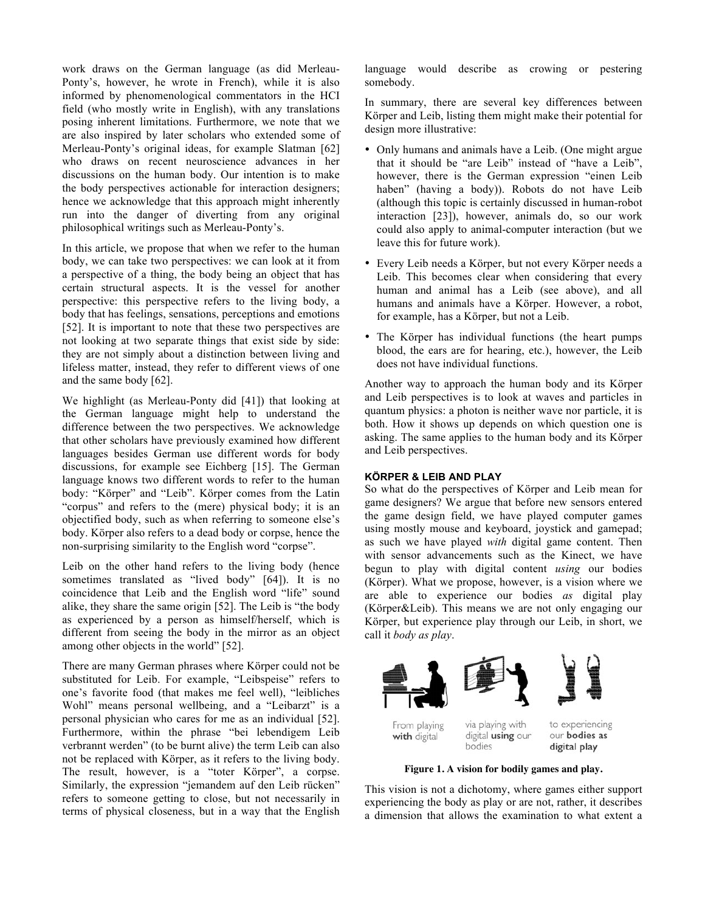work draws on the German language (as did Merleau-Ponty's, however, he wrote in French), while it is also informed by phenomenological commentators in the HCI field (who mostly write in English), with any translations posing inherent limitations. Furthermore, we note that we are also inspired by later scholars who extended some of Merleau-Ponty's original ideas, for example Slatman [62] who draws on recent neuroscience advances in her discussions on the human body. Our intention is to make the body perspectives actionable for interaction designers; hence we acknowledge that this approach might inherently run into the danger of diverting from any original philosophical writings such as Merleau-Ponty's.

In this article, we propose that when we refer to the human body, we can take two perspectives: we can look at it from a perspective of a thing, the body being an object that has certain structural aspects. It is the vessel for another perspective: this perspective refers to the living body, a body that has feelings, sensations, perceptions and emotions [52]. It is important to note that these two perspectives are not looking at two separate things that exist side by side: they are not simply about a distinction between living and lifeless matter, instead, they refer to different views of one and the same body [62].

We highlight (as Merleau-Ponty did [41]) that looking at the German language might help to understand the difference between the two perspectives. We acknowledge that other scholars have previously examined how different languages besides German use different words for body discussions, for example see Eichberg [15]. The German language knows two different words to refer to the human body: "Körper" and "Leib". Körper comes from the Latin "corpus" and refers to the (mere) physical body; it is an objectified body, such as when referring to someone else's body. Körper also refers to a dead body or corpse, hence the non-surprising similarity to the English word "corpse".

Leib on the other hand refers to the living body (hence sometimes translated as "lived body" [64]). It is no coincidence that Leib and the English word "life" sound alike, they share the same origin [52]. The Leib is "the body as experienced by a person as himself/herself, which is different from seeing the body in the mirror as an object among other objects in the world" [52].

There are many German phrases where Körper could not be substituted for Leib. For example, "Leibspeise" refers to one's favorite food (that makes me feel well), "leibliches Wohl" means personal wellbeing, and a "Leibarzt" is a personal physician who cares for me as an individual [52]. Furthermore, within the phrase "bei lebendigem Leib verbrannt werden" (to be burnt alive) the term Leib can also not be replaced with Körper, as it refers to the living body. The result, however, is a "toter Körper", a corpse. Similarly, the expression "jemandem auf den Leib rücken" refers to someone getting to close, but not necessarily in terms of physical closeness, but in a way that the English language would describe as crowing or pestering somebody.

In summary, there are several key differences between Körper and Leib, listing them might make their potential for design more illustrative:

- Only humans and animals have a Leib. (One might argue that it should be "are Leib" instead of "have a Leib", however, there is the German expression "einen Leib haben" (having a body)). Robots do not have Leib (although this topic is certainly discussed in human-robot interaction [23]), however, animals do, so our work could also apply to animal-computer interaction (but we leave this for future work).
- Every Leib needs a Körper, but not every Körper needs a Leib. This becomes clear when considering that every human and animal has a Leib (see above), and all humans and animals have a Körper. However, a robot, for example, has a Körper, but not a Leib.
- The Körper has individual functions (the heart pumps blood, the ears are for hearing, etc.), however, the Leib does not have individual functions.

Another way to approach the human body and its Körper and Leib perspectives is to look at waves and particles in quantum physics: a photon is neither wave nor particle, it is both. How it shows up depends on which question one is asking. The same applies to the human body and its Körper and Leib perspectives.

# **KÖRPER & LEIB AND PLAY**

So what do the perspectives of Körper and Leib mean for game designers? We argue that before new sensors entered the game design field, we have played computer games using mostly mouse and keyboard, joystick and gamepad; as such we have played *with* digital game content. Then with sensor advancements such as the Kinect, we have begun to play with digital content *using* our bodies (Körper). What we propose, however, is a vision where we are able to experience our bodies *as* digital play (Körper&Leib). This means we are not only engaging our Körper, but experience play through our Leib, in short, we call it *body as play*.



**Figure 1. A vision for bodily games and play.**

This vision is not a dichotomy, where games either support experiencing the body as play or are not, rather, it describes a dimension that allows the examination to what extent a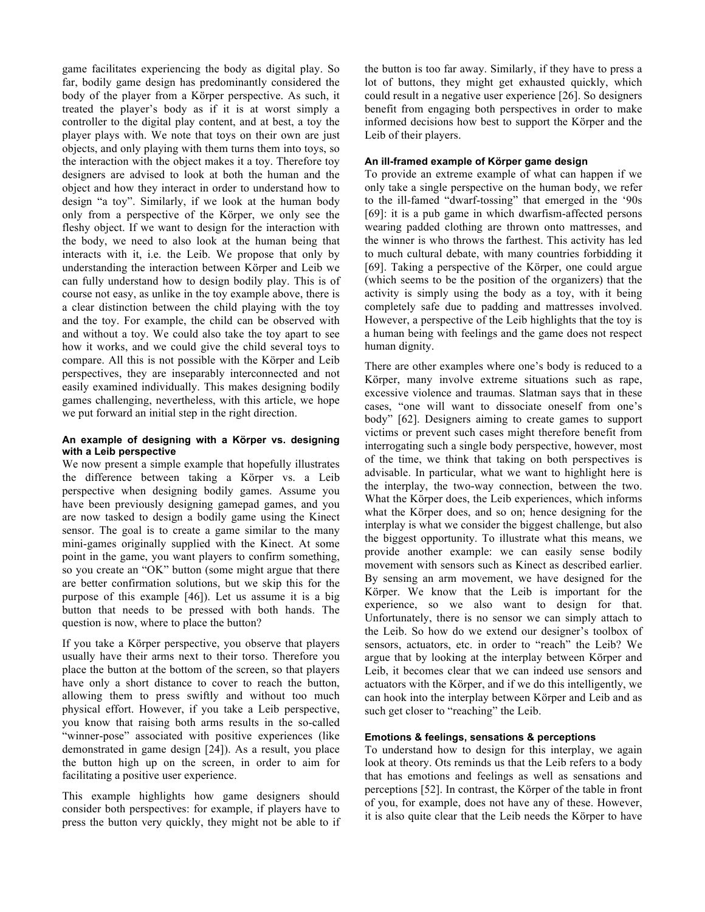game facilitates experiencing the body as digital play. So far, bodily game design has predominantly considered the body of the player from a Körper perspective. As such, it treated the player's body as if it is at worst simply a controller to the digital play content, and at best, a toy the player plays with. We note that toys on their own are just objects, and only playing with them turns them into toys, so the interaction with the object makes it a toy. Therefore toy designers are advised to look at both the human and the object and how they interact in order to understand how to design "a toy". Similarly, if we look at the human body only from a perspective of the Körper, we only see the fleshy object. If we want to design for the interaction with the body, we need to also look at the human being that interacts with it, i.e. the Leib. We propose that only by understanding the interaction between Körper and Leib we can fully understand how to design bodily play. This is of course not easy, as unlike in the toy example above, there is a clear distinction between the child playing with the toy and the toy. For example, the child can be observed with and without a toy. We could also take the toy apart to see how it works, and we could give the child several toys to compare. All this is not possible with the Körper and Leib perspectives, they are inseparably interconnected and not easily examined individually. This makes designing bodily games challenging, nevertheless, with this article, we hope we put forward an initial step in the right direction.

# **An example of designing with a Körper vs. designing with a Leib perspective**

We now present a simple example that hopefully illustrates the difference between taking a Körper vs. a Leib perspective when designing bodily games. Assume you have been previously designing gamepad games, and you are now tasked to design a bodily game using the Kinect sensor. The goal is to create a game similar to the many mini-games originally supplied with the Kinect. At some point in the game, you want players to confirm something, so you create an "OK" button (some might argue that there are better confirmation solutions, but we skip this for the purpose of this example [46]). Let us assume it is a big button that needs to be pressed with both hands. The question is now, where to place the button?

If you take a Körper perspective, you observe that players usually have their arms next to their torso. Therefore you place the button at the bottom of the screen, so that players have only a short distance to cover to reach the button, allowing them to press swiftly and without too much physical effort. However, if you take a Leib perspective, you know that raising both arms results in the so-called "winner-pose" associated with positive experiences (like demonstrated in game design [24]). As a result, you place the button high up on the screen, in order to aim for facilitating a positive user experience.

This example highlights how game designers should consider both perspectives: for example, if players have to press the button very quickly, they might not be able to if the button is too far away. Similarly, if they have to press a lot of buttons, they might get exhausted quickly, which could result in a negative user experience [26]. So designers benefit from engaging both perspectives in order to make informed decisions how best to support the Körper and the Leib of their players.

# **An ill-framed example of Körper game design**

To provide an extreme example of what can happen if we only take a single perspective on the human body, we refer to the ill-famed "dwarf-tossing" that emerged in the '90s [69]: it is a pub game in which dwarfism-affected persons wearing padded clothing are thrown onto mattresses, and the winner is who throws the farthest. This activity has led to much cultural debate, with many countries forbidding it [69]. Taking a perspective of the Körper, one could argue (which seems to be the position of the organizers) that the activity is simply using the body as a toy, with it being completely safe due to padding and mattresses involved. However, a perspective of the Leib highlights that the toy is a human being with feelings and the game does not respect human dignity.

There are other examples where one's body is reduced to a Körper, many involve extreme situations such as rape, excessive violence and traumas. Slatman says that in these cases, "one will want to dissociate oneself from one's body" [62]. Designers aiming to create games to support victims or prevent such cases might therefore benefit from interrogating such a single body perspective, however, most of the time, we think that taking on both perspectives is advisable. In particular, what we want to highlight here is the interplay, the two-way connection, between the two. What the Körper does, the Leib experiences, which informs what the Körper does, and so on; hence designing for the interplay is what we consider the biggest challenge, but also the biggest opportunity. To illustrate what this means, we provide another example: we can easily sense bodily movement with sensors such as Kinect as described earlier. By sensing an arm movement, we have designed for the Körper. We know that the Leib is important for the experience, so we also want to design for that. Unfortunately, there is no sensor we can simply attach to the Leib. So how do we extend our designer's toolbox of sensors, actuators, etc. in order to "reach" the Leib? We argue that by looking at the interplay between Körper and Leib, it becomes clear that we can indeed use sensors and actuators with the Körper, and if we do this intelligently, we can hook into the interplay between Körper and Leib and as such get closer to "reaching" the Leib.

# **Emotions & feelings, sensations & perceptions**

To understand how to design for this interplay, we again look at theory. Ots reminds us that the Leib refers to a body that has emotions and feelings as well as sensations and perceptions [52]. In contrast, the Körper of the table in front of you, for example, does not have any of these. However, it is also quite clear that the Leib needs the Körper to have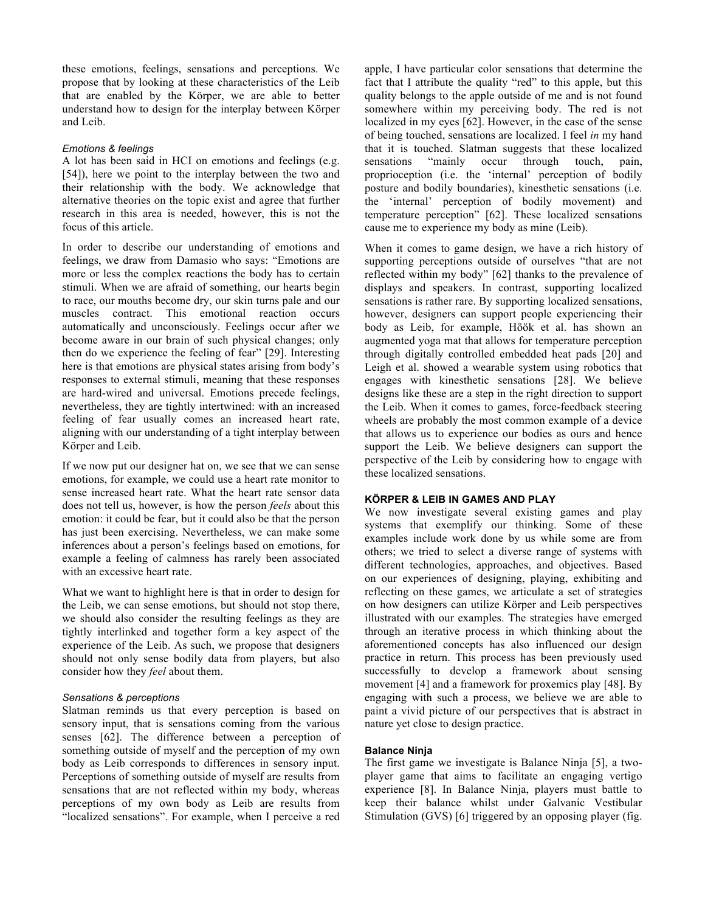these emotions, feelings, sensations and perceptions. We propose that by looking at these characteristics of the Leib that are enabled by the Körper, we are able to better understand how to design for the interplay between Körper and Leib.

## *Emotions & feelings*

A lot has been said in HCI on emotions and feelings (e.g. [54]), here we point to the interplay between the two and their relationship with the body. We acknowledge that alternative theories on the topic exist and agree that further research in this area is needed, however, this is not the focus of this article.

In order to describe our understanding of emotions and feelings, we draw from Damasio who says: "Emotions are more or less the complex reactions the body has to certain stimuli. When we are afraid of something, our hearts begin to race, our mouths become dry, our skin turns pale and our muscles contract. This emotional reaction occurs automatically and unconsciously. Feelings occur after we become aware in our brain of such physical changes; only then do we experience the feeling of fear" [29]. Interesting here is that emotions are physical states arising from body's responses to external stimuli, meaning that these responses are hard-wired and universal. Emotions precede feelings, nevertheless, they are tightly intertwined: with an increased feeling of fear usually comes an increased heart rate, aligning with our understanding of a tight interplay between Körper and Leib.

If we now put our designer hat on, we see that we can sense emotions, for example, we could use a heart rate monitor to sense increased heart rate. What the heart rate sensor data does not tell us, however, is how the person *feels* about this emotion: it could be fear, but it could also be that the person has just been exercising. Nevertheless, we can make some inferences about a person's feelings based on emotions, for example a feeling of calmness has rarely been associated with an excessive heart rate.

What we want to highlight here is that in order to design for the Leib, we can sense emotions, but should not stop there, we should also consider the resulting feelings as they are tightly interlinked and together form a key aspect of the experience of the Leib. As such, we propose that designers should not only sense bodily data from players, but also consider how they *feel* about them.

## *Sensations & perceptions*

Slatman reminds us that every perception is based on sensory input, that is sensations coming from the various senses [62]. The difference between a perception of something outside of myself and the perception of my own body as Leib corresponds to differences in sensory input. Perceptions of something outside of myself are results from sensations that are not reflected within my body, whereas perceptions of my own body as Leib are results from "localized sensations". For example, when I perceive a red apple, I have particular color sensations that determine the fact that I attribute the quality "red" to this apple, but this quality belongs to the apple outside of me and is not found somewhere within my perceiving body. The red is not localized in my eyes [62]. However, in the case of the sense of being touched, sensations are localized. I feel *in* my hand that it is touched. Slatman suggests that these localized sensations "mainly occur through touch, pain, proprioception (i.e. the 'internal' perception of bodily posture and bodily boundaries), kinesthetic sensations (i.e. the 'internal' perception of bodily movement) and temperature perception" [62]. These localized sensations cause me to experience my body as mine (Leib).

When it comes to game design, we have a rich history of supporting perceptions outside of ourselves "that are not reflected within my body" [62] thanks to the prevalence of displays and speakers. In contrast, supporting localized sensations is rather rare. By supporting localized sensations, however, designers can support people experiencing their body as Leib, for example, Höök et al. has shown an augmented yoga mat that allows for temperature perception through digitally controlled embedded heat pads [20] and Leigh et al. showed a wearable system using robotics that engages with kinesthetic sensations [28]. We believe designs like these are a step in the right direction to support the Leib. When it comes to games, force-feedback steering wheels are probably the most common example of a device that allows us to experience our bodies as ours and hence support the Leib. We believe designers can support the perspective of the Leib by considering how to engage with these localized sensations.

## **KÖRPER & LEIB IN GAMES AND PLAY**

We now investigate several existing games and play systems that exemplify our thinking. Some of these examples include work done by us while some are from others; we tried to select a diverse range of systems with different technologies, approaches, and objectives. Based on our experiences of designing, playing, exhibiting and reflecting on these games, we articulate a set of strategies on how designers can utilize Körper and Leib perspectives illustrated with our examples. The strategies have emerged through an iterative process in which thinking about the aforementioned concepts has also influenced our design practice in return. This process has been previously used successfully to develop a framework about sensing movement [4] and a framework for proxemics play [48]. By engaging with such a process, we believe we are able to paint a vivid picture of our perspectives that is abstract in nature yet close to design practice.

## **Balance Ninja**

The first game we investigate is Balance Ninja [5], a twoplayer game that aims to facilitate an engaging vertigo experience [8]. In Balance Ninja, players must battle to keep their balance whilst under Galvanic Vestibular Stimulation (GVS) [6] triggered by an opposing player (fig.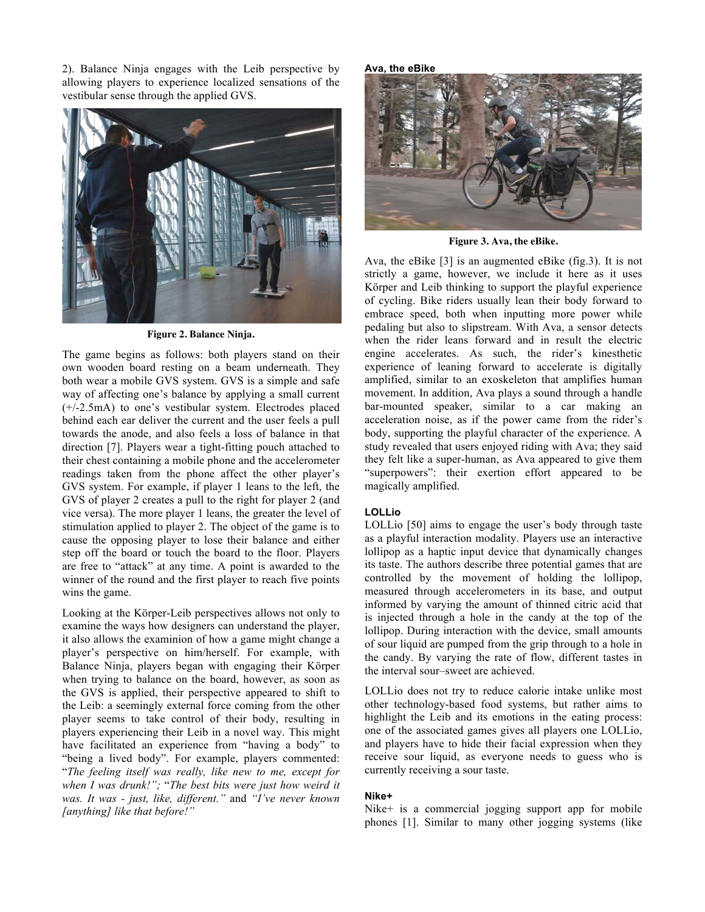2). Balance Ninja engages with the Leib perspective by allowing players to experience localized sensations of the vestibular sense through the applied GVS.



**Figure 2. Balance Ninja.**

The game begins as follows: both players stand on their own wooden board resting on a beam underneath. They both wear a mobile GVS system. GVS is a simple and safe way of affecting one's balance by applying a small current (+/-2.5mA) to one's vestibular system. Electrodes placed behind each ear deliver the current and the user feels a pull towards the anode, and also feels a loss of balance in that direction [7]. Players wear a tight-fitting pouch attached to their chest containing a mobile phone and the accelerometer readings taken from the phone affect the other player's GVS system. For example, if player 1 leans to the left, the GVS of player 2 creates a pull to the right for player 2 (and vice versa). The more player 1 leans, the greater the level of stimulation applied to player 2. The object of the game is to cause the opposing player to lose their balance and either step off the board or touch the board to the floor. Players are free to "attack" at any time. A point is awarded to the winner of the round and the first player to reach five points wins the game.

Looking at the Körper-Leib perspectives allows not only to examine the ways how designers can understand the player, it also allows the examinion of how a game might change a player's perspective on him/herself. For example, with Balance Ninja, players began with engaging their Körper when trying to balance on the board, however, as soon as the GVS is applied, their perspective appeared to shift to the Leib: a seemingly external force coming from the other player seems to take control of their body, resulting in players experiencing their Leib in a novel way. This might have facilitated an experience from "having a body" to "being a lived body". For example, players commented: "*The feeling itself was really, like new to me, except for when I was drunk!";* "*The best bits were just how weird it was. It was - just, like, different."* and *"I've never known [anything] like that before!"*

#### **Ava, the eBike**



**Figure 3. Ava, the eBike.**

Ava, the eBike [3] is an augmented eBike (fig.3). It is not strictly a game, however, we include it here as it uses Körper and Leib thinking to support the playful experience of cycling. Bike riders usually lean their body forward to embrace speed, both when inputting more power while pedaling but also to slipstream. With Ava, a sensor detects when the rider leans forward and in result the electric engine accelerates. As such, the rider's kinesthetic experience of leaning forward to accelerate is digitally amplified, similar to an exoskeleton that amplifies human movement. In addition, Ava plays a sound through a handle bar-mounted speaker, similar to a car making an acceleration noise, as if the power came from the rider's body, supporting the playful character of the experience. A study revealed that users enjoyed riding with Ava; they said they felt like a super-human, as Ava appeared to give them "superpowers": their exertion effort appeared to be magically amplified.

#### **LOLLio**

LOLLio [50] aims to engage the user's body through taste as a playful interaction modality. Players use an interactive lollipop as a haptic input device that dynamically changes its taste. The authors describe three potential games that are controlled by the movement of holding the lollipop, measured through accelerometers in its base, and output informed by varying the amount of thinned citric acid that is injected through a hole in the candy at the top of the lollipop. During interaction with the device, small amounts of sour liquid are pumped from the grip through to a hole in the candy. By varying the rate of flow, different tastes in the interval sour–sweet are achieved.

LOLLio does not try to reduce calorie intake unlike most other technology-based food systems, but rather aims to highlight the Leib and its emotions in the eating process: one of the associated games gives all players one LOLLio, and players have to hide their facial expression when they receive sour liquid, as everyone needs to guess who is currently receiving a sour taste.

#### **Nike+**

Nike+ is a commercial jogging support app for mobile phones [1]. Similar to many other jogging systems (like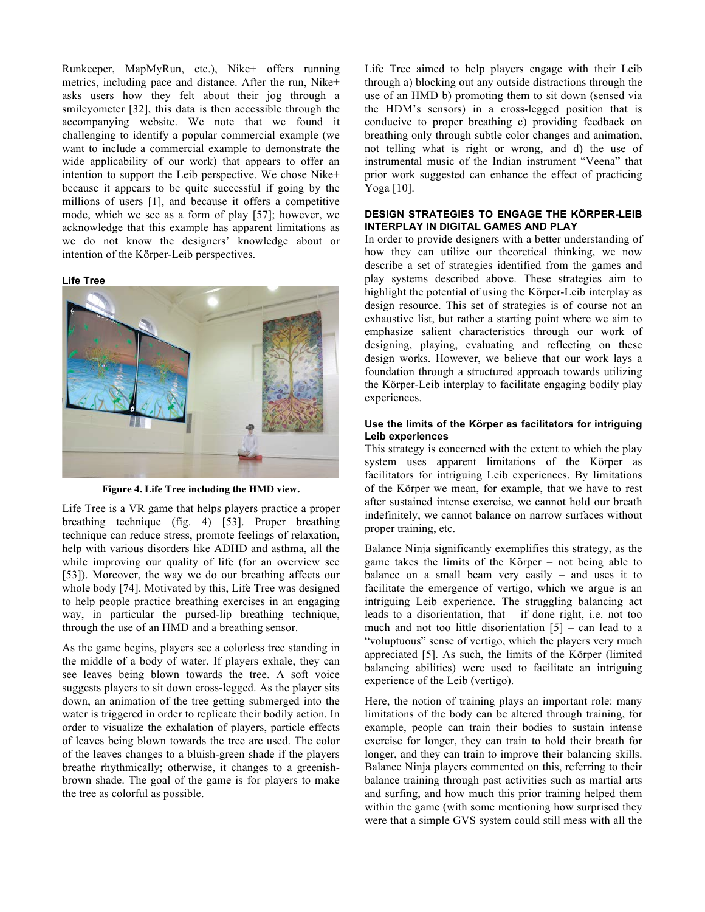Runkeeper, MapMyRun, etc.), Nike+ offers running metrics, including pace and distance. After the run, Nike+ asks users how they felt about their jog through a smileyometer [32], this data is then accessible through the accompanying website. We note that we found it challenging to identify a popular commercial example (we want to include a commercial example to demonstrate the wide applicability of our work) that appears to offer an intention to support the Leib perspective. We chose Nike+ because it appears to be quite successful if going by the millions of users [1], and because it offers a competitive mode, which we see as a form of play [57]; however, we acknowledge that this example has apparent limitations as we do not know the designers' knowledge about or intention of the Körper-Leib perspectives.

#### **Life Tree**



**Figure 4. Life Tree including the HMD view.**

Life Tree is a VR game that helps players practice a proper breathing technique (fig. 4) [53]. Proper breathing technique can reduce stress, promote feelings of relaxation, help with various disorders like ADHD and asthma, all the while improving our quality of life (for an overview see [53]). Moreover, the way we do our breathing affects our whole body [74]. Motivated by this, Life Tree was designed to help people practice breathing exercises in an engaging way, in particular the pursed-lip breathing technique, through the use of an HMD and a breathing sensor.

As the game begins, players see a colorless tree standing in the middle of a body of water. If players exhale, they can see leaves being blown towards the tree. A soft voice suggests players to sit down cross-legged. As the player sits down, an animation of the tree getting submerged into the water is triggered in order to replicate their bodily action. In order to visualize the exhalation of players, particle effects of leaves being blown towards the tree are used. The color of the leaves changes to a bluish-green shade if the players breathe rhythmically; otherwise, it changes to a greenishbrown shade. The goal of the game is for players to make the tree as colorful as possible.

Life Tree aimed to help players engage with their Leib through a) blocking out any outside distractions through the use of an HMD b) promoting them to sit down (sensed via the HDM's sensors) in a cross-legged position that is conducive to proper breathing c) providing feedback on breathing only through subtle color changes and animation, not telling what is right or wrong, and d) the use of instrumental music of the Indian instrument "Veena" that prior work suggested can enhance the effect of practicing Yoga [10].

## **DESIGN STRATEGIES TO ENGAGE THE KÖRPER-LEIB INTERPLAY IN DIGITAL GAMES AND PLAY**

In order to provide designers with a better understanding of how they can utilize our theoretical thinking, we now describe a set of strategies identified from the games and play systems described above. These strategies aim to highlight the potential of using the Körper-Leib interplay as design resource. This set of strategies is of course not an exhaustive list, but rather a starting point where we aim to emphasize salient characteristics through our work of designing, playing, evaluating and reflecting on these design works. However, we believe that our work lays a foundation through a structured approach towards utilizing the Körper-Leib interplay to facilitate engaging bodily play experiences.

# **Use the limits of the Körper as facilitators for intriguing Leib experiences**

This strategy is concerned with the extent to which the play system uses apparent limitations of the Körper as facilitators for intriguing Leib experiences. By limitations of the Körper we mean, for example, that we have to rest after sustained intense exercise, we cannot hold our breath indefinitely, we cannot balance on narrow surfaces without proper training, etc.

Balance Ninja significantly exemplifies this strategy, as the game takes the limits of the Körper – not being able to balance on a small beam very easily – and uses it to facilitate the emergence of vertigo, which we argue is an intriguing Leib experience. The struggling balancing act leads to a disorientation, that – if done right, i.e. not too much and not too little disorientation  $[5]$  – can lead to a "voluptuous" sense of vertigo, which the players very much appreciated [5]. As such, the limits of the Körper (limited balancing abilities) were used to facilitate an intriguing experience of the Leib (vertigo).

Here, the notion of training plays an important role: many limitations of the body can be altered through training, for example, people can train their bodies to sustain intense exercise for longer, they can train to hold their breath for longer, and they can train to improve their balancing skills. Balance Ninja players commented on this, referring to their balance training through past activities such as martial arts and surfing, and how much this prior training helped them within the game (with some mentioning how surprised they were that a simple GVS system could still mess with all the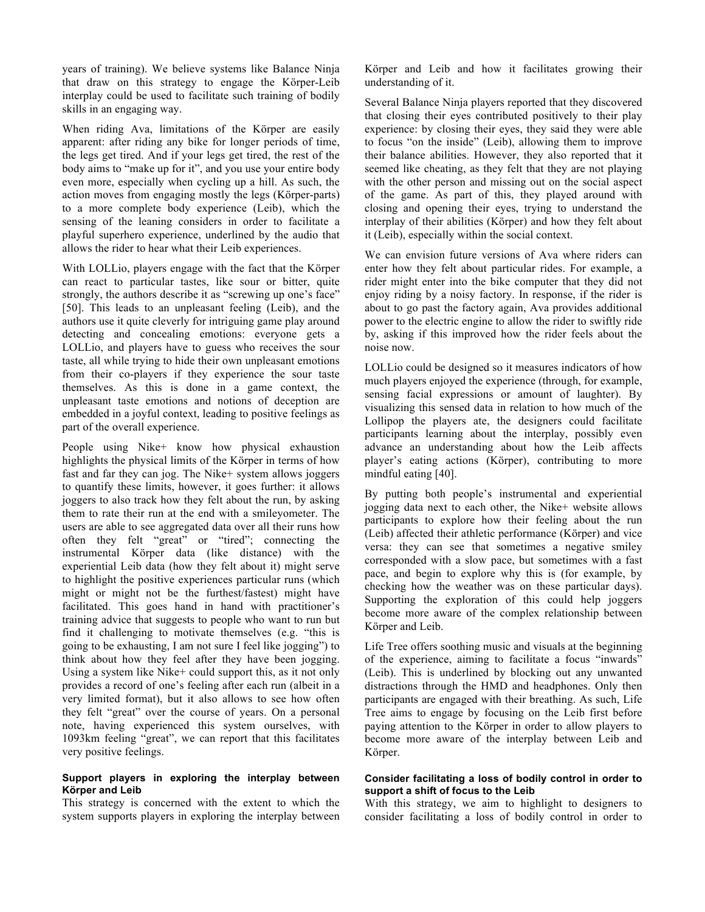years of training). We believe systems like Balance Ninja that draw on this strategy to engage the Körper-Leib interplay could be used to facilitate such training of bodily skills in an engaging way.

When riding Ava, limitations of the Körper are easily apparent: after riding any bike for longer periods of time, the legs get tired. And if your legs get tired, the rest of the body aims to "make up for it", and you use your entire body even more, especially when cycling up a hill. As such, the action moves from engaging mostly the legs (Körper-parts) to a more complete body experience (Leib), which the sensing of the leaning considers in order to facilitate a playful superhero experience, underlined by the audio that allows the rider to hear what their Leib experiences.

With LOLLio, players engage with the fact that the Körper can react to particular tastes, like sour or bitter, quite strongly, the authors describe it as "screwing up one's face" [50]. This leads to an unpleasant feeling (Leib), and the authors use it quite cleverly for intriguing game play around detecting and concealing emotions: everyone gets a LOLLio, and players have to guess who receives the sour taste, all while trying to hide their own unpleasant emotions from their co-players if they experience the sour taste themselves. As this is done in a game context, the unpleasant taste emotions and notions of deception are embedded in a joyful context, leading to positive feelings as part of the overall experience.

People using Nike+ know how physical exhaustion highlights the physical limits of the Körper in terms of how fast and far they can jog. The Nike+ system allows joggers to quantify these limits, however, it goes further: it allows joggers to also track how they felt about the run, by asking them to rate their run at the end with a smileyometer. The users are able to see aggregated data over all their runs how often they felt "great" or "tired"; connecting the instrumental Körper data (like distance) with the experiential Leib data (how they felt about it) might serve to highlight the positive experiences particular runs (which might or might not be the furthest/fastest) might have facilitated. This goes hand in hand with practitioner's training advice that suggests to people who want to run but find it challenging to motivate themselves (e.g. "this is going to be exhausting, I am not sure I feel like jogging") to think about how they feel after they have been jogging. Using a system like Nike+ could support this, as it not only provides a record of one's feeling after each run (albeit in a very limited format), but it also allows to see how often they felt "great" over the course of years. On a personal note, having experienced this system ourselves, with 1093km feeling "great", we can report that this facilitates very positive feelings.

# **Support players in exploring the interplay between Körper and Leib**

This strategy is concerned with the extent to which the system supports players in exploring the interplay between Körper and Leib and how it facilitates growing their understanding of it.

Several Balance Ninja players reported that they discovered that closing their eyes contributed positively to their play experience: by closing their eyes, they said they were able to focus "on the inside" (Leib), allowing them to improve their balance abilities. However, they also reported that it seemed like cheating, as they felt that they are not playing with the other person and missing out on the social aspect of the game. As part of this, they played around with closing and opening their eyes, trying to understand the interplay of their abilities (Körper) and how they felt about it (Leib), especially within the social context.

We can envision future versions of Ava where riders can enter how they felt about particular rides. For example, a rider might enter into the bike computer that they did not enjoy riding by a noisy factory. In response, if the rider is about to go past the factory again, Ava provides additional power to the electric engine to allow the rider to swiftly ride by, asking if this improved how the rider feels about the noise now.

LOLLio could be designed so it measures indicators of how much players enjoyed the experience (through, for example, sensing facial expressions or amount of laughter). By visualizing this sensed data in relation to how much of the Lollipop the players ate, the designers could facilitate participants learning about the interplay, possibly even advance an understanding about how the Leib affects player's eating actions (Körper), contributing to more mindful eating [40].

By putting both people's instrumental and experiential jogging data next to each other, the Nike+ website allows participants to explore how their feeling about the run (Leib) affected their athletic performance (Körper) and vice versa: they can see that sometimes a negative smiley corresponded with a slow pace, but sometimes with a fast pace, and begin to explore why this is (for example, by checking how the weather was on these particular days). Supporting the exploration of this could help joggers become more aware of the complex relationship between Körper and Leib.

Life Tree offers soothing music and visuals at the beginning of the experience, aiming to facilitate a focus "inwards" (Leib). This is underlined by blocking out any unwanted distractions through the HMD and headphones. Only then participants are engaged with their breathing. As such, Life Tree aims to engage by focusing on the Leib first before paying attention to the Körper in order to allow players to become more aware of the interplay between Leib and Körper.

# **Consider facilitating a loss of bodily control in order to support a shift of focus to the Leib**

With this strategy, we aim to highlight to designers to consider facilitating a loss of bodily control in order to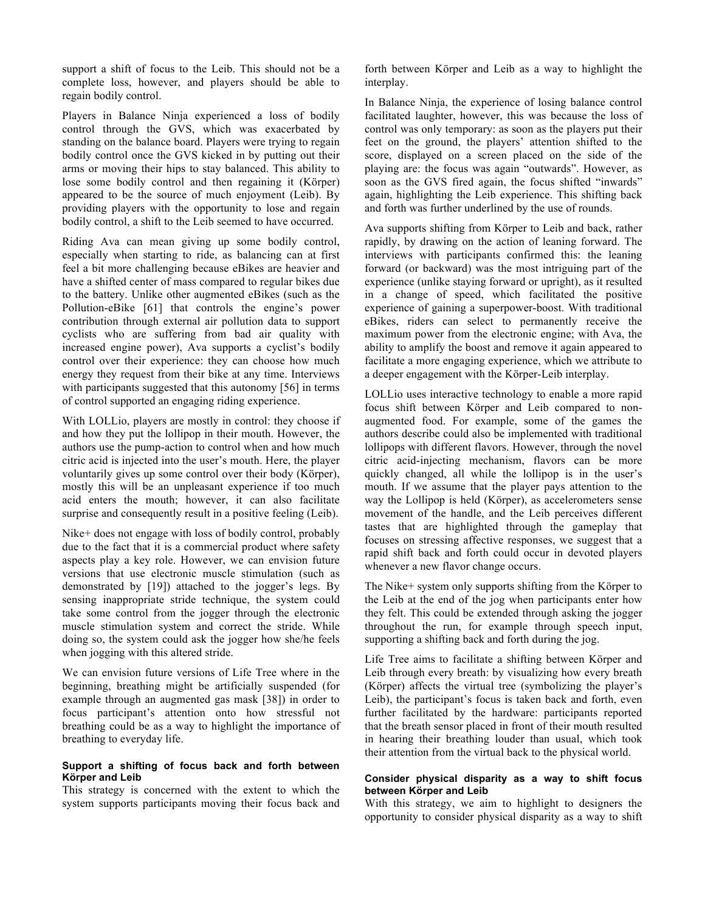support a shift of focus to the Leib. This should not be a complete loss, however, and players should be able to regain bodily control.

Players in Balance Ninja experienced a loss of bodily control through the GVS, which was exacerbated by standing on the balance board. Players were trying to regain bodily control once the GVS kicked in by putting out their arms or moving their hips to stay balanced. This ability to lose some bodily control and then regaining it (Körper) appeared to be the source of much enjoyment (Leib). By providing players with the opportunity to lose and regain bodily control, a shift to the Leib seemed to have occurred.

Riding Ava can mean giving up some bodily control, especially when starting to ride, as balancing can at first feel a bit more challenging because eBikes are heavier and have a shifted center of mass compared to regular bikes due to the battery. Unlike other augmented eBikes (such as the Pollution-eBike [61] that controls the engine's power contribution through external air pollution data to support cyclists who are suffering from bad air quality with increased engine power), Ava supports a cyclist's bodily control over their experience: they can choose how much energy they request from their bike at any time. Interviews with participants suggested that this autonomy [56] in terms of control supported an engaging riding experience.

With LOLLio, players are mostly in control: they choose if and how they put the lollipop in their mouth. However, the authors use the pump-action to control when and how much citric acid is injected into the user's mouth. Here, the player voluntarily gives up some control over their body (Körper), mostly this will be an unpleasant experience if too much acid enters the mouth; however, it can also facilitate surprise and consequently result in a positive feeling (Leib).

Nike+ does not engage with loss of bodily control, probably due to the fact that it is a commercial product where safety aspects play a key role. However, we can envision future versions that use electronic muscle stimulation (such as demonstrated by [19]) attached to the jogger's legs. By sensing inappropriate stride technique, the system could take some control from the jogger through the electronic muscle stimulation system and correct the stride. While doing so, the system could ask the jogger how she/he feels when jogging with this altered stride.

We can envision future versions of Life Tree where in the beginning, breathing might be artificially suspended (for example through an augmented gas mask [38]) in order to focus participant's attention onto how stressful not breathing could be as a way to highlight the importance of breathing to everyday life.

# **Support a shifting of focus back and forth between Körper and Leib**

This strategy is concerned with the extent to which the system supports participants moving their focus back and

forth between Körper and Leib as a way to highlight the interplay.

In Balance Ninja, the experience of losing balance control facilitated laughter, however, this was because the loss of control was only temporary: as soon as the players put their feet on the ground, the players' attention shifted to the score, displayed on a screen placed on the side of the playing are: the focus was again "outwards". However, as soon as the GVS fired again, the focus shifted "inwards" again, highlighting the Leib experience. This shifting back and forth was further underlined by the use of rounds.

Ava supports shifting from Körper to Leib and back, rather rapidly, by drawing on the action of leaning forward. The interviews with participants confirmed this: the leaning forward (or backward) was the most intriguing part of the experience (unlike staying forward or upright), as it resulted in a change of speed, which facilitated the positive experience of gaining a superpower-boost. With traditional eBikes, riders can select to permanently receive the maximum power from the electronic engine; with Ava, the ability to amplify the boost and remove it again appeared to facilitate a more engaging experience, which we attribute to a deeper engagement with the Körper-Leib interplay.

LOLLio uses interactive technology to enable a more rapid focus shift between Körper and Leib compared to nonaugmented food. For example, some of the games the authors describe could also be implemented with traditional lollipops with different flavors. However, through the novel citric acid-injecting mechanism, flavors can be more quickly changed, all while the lollipop is in the user's mouth. If we assume that the player pays attention to the way the Lollipop is held (Körper), as accelerometers sense movement of the handle, and the Leib perceives different tastes that are highlighted through the gameplay that focuses on stressing affective responses, we suggest that a rapid shift back and forth could occur in devoted players whenever a new flavor change occurs.

The Nike+ system only supports shifting from the Körper to the Leib at the end of the jog when participants enter how they felt. This could be extended through asking the jogger throughout the run, for example through speech input, supporting a shifting back and forth during the jog.

Life Tree aims to facilitate a shifting between Körper and Leib through every breath: by visualizing how every breath (Körper) affects the virtual tree (symbolizing the player's Leib), the participant's focus is taken back and forth, even further facilitated by the hardware: participants reported that the breath sensor placed in front of their mouth resulted in hearing their breathing louder than usual, which took their attention from the virtual back to the physical world.

# **Consider physical disparity as a way to shift focus between Körper and Leib**

With this strategy, we aim to highlight to designers the opportunity to consider physical disparity as a way to shift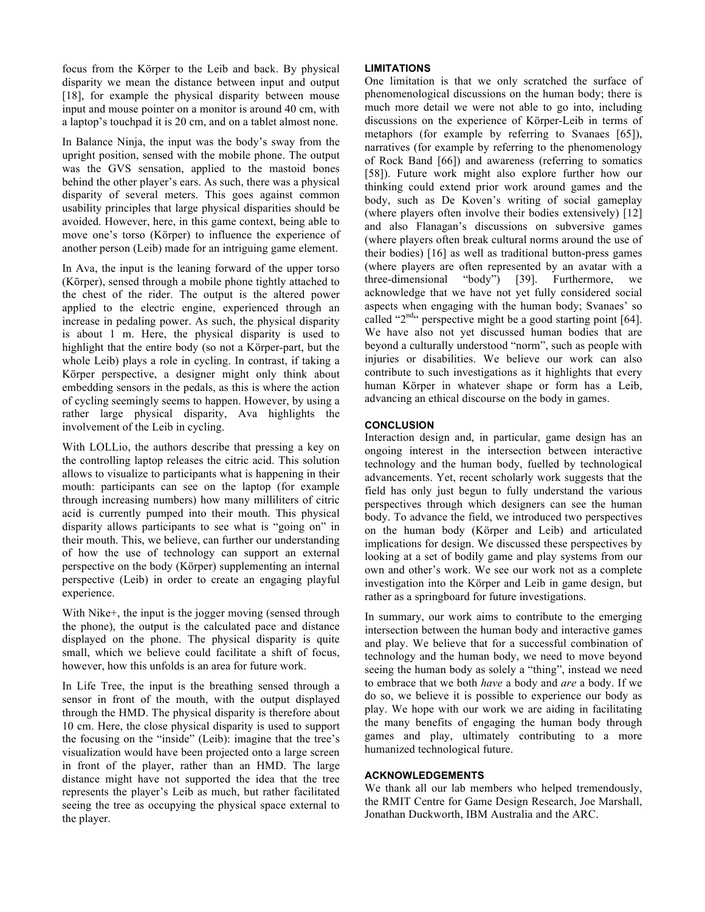focus from the Körper to the Leib and back. By physical disparity we mean the distance between input and output [18], for example the physical disparity between mouse input and mouse pointer on a monitor is around 40 cm, with a laptop's touchpad it is 20 cm, and on a tablet almost none.

In Balance Ninja, the input was the body's sway from the upright position, sensed with the mobile phone. The output was the GVS sensation, applied to the mastoid bones behind the other player's ears. As such, there was a physical disparity of several meters. This goes against common usability principles that large physical disparities should be avoided. However, here, in this game context, being able to move one's torso (Körper) to influence the experience of another person (Leib) made for an intriguing game element.

In Ava, the input is the leaning forward of the upper torso (Körper), sensed through a mobile phone tightly attached to the chest of the rider. The output is the altered power applied to the electric engine, experienced through an increase in pedaling power. As such, the physical disparity is about 1 m. Here, the physical disparity is used to highlight that the entire body (so not a Körper-part, but the whole Leib) plays a role in cycling. In contrast, if taking a Körper perspective, a designer might only think about embedding sensors in the pedals, as this is where the action of cycling seemingly seems to happen. However, by using a rather large physical disparity, Ava highlights the involvement of the Leib in cycling.

With LOLLio, the authors describe that pressing a key on the controlling laptop releases the citric acid. This solution allows to visualize to participants what is happening in their mouth: participants can see on the laptop (for example through increasing numbers) how many milliliters of citric acid is currently pumped into their mouth. This physical disparity allows participants to see what is "going on" in their mouth. This, we believe, can further our understanding of how the use of technology can support an external perspective on the body (Körper) supplementing an internal perspective (Leib) in order to create an engaging playful experience.

With Nike+, the input is the jogger moving (sensed through the phone), the output is the calculated pace and distance displayed on the phone. The physical disparity is quite small, which we believe could facilitate a shift of focus, however, how this unfolds is an area for future work.

In Life Tree, the input is the breathing sensed through a sensor in front of the mouth, with the output displayed through the HMD. The physical disparity is therefore about 10 cm. Here, the close physical disparity is used to support the focusing on the "inside" (Leib): imagine that the tree's visualization would have been projected onto a large screen in front of the player, rather than an HMD. The large distance might have not supported the idea that the tree represents the player's Leib as much, but rather facilitated seeing the tree as occupying the physical space external to the player.

### **LIMITATIONS**

One limitation is that we only scratched the surface of phenomenological discussions on the human body; there is much more detail we were not able to go into, including discussions on the experience of Körper-Leib in terms of metaphors (for example by referring to Svanaes [65]), narratives (for example by referring to the phenomenology of Rock Band [66]) and awareness (referring to somatics [58]). Future work might also explore further how our thinking could extend prior work around games and the body, such as De Koven's writing of social gameplay (where players often involve their bodies extensively) [12] and also Flanagan's discussions on subversive games (where players often break cultural norms around the use of their bodies) [16] as well as traditional button-press games (where players are often represented by an avatar with a three-dimensional "body") [39]. Furthermore, we acknowledge that we have not yet fully considered social aspects when engaging with the human body; Svanaes' so called " $2^{nd}$ " perspective might be a good starting point [64]. We have also not yet discussed human bodies that are beyond a culturally understood "norm", such as people with injuries or disabilities. We believe our work can also contribute to such investigations as it highlights that every human Körper in whatever shape or form has a Leib, advancing an ethical discourse on the body in games.

# **CONCLUSION**

Interaction design and, in particular, game design has an ongoing interest in the intersection between interactive technology and the human body, fuelled by technological advancements. Yet, recent scholarly work suggests that the field has only just begun to fully understand the various perspectives through which designers can see the human body. To advance the field, we introduced two perspectives on the human body (Körper and Leib) and articulated implications for design. We discussed these perspectives by looking at a set of bodily game and play systems from our own and other's work. We see our work not as a complete investigation into the Körper and Leib in game design, but rather as a springboard for future investigations.

In summary, our work aims to contribute to the emerging intersection between the human body and interactive games and play. We believe that for a successful combination of technology and the human body, we need to move beyond seeing the human body as solely a "thing", instead we need to embrace that we both *have* a body and *are* a body. If we do so, we believe it is possible to experience our body as play. We hope with our work we are aiding in facilitating the many benefits of engaging the human body through games and play, ultimately contributing to a more humanized technological future.

### **ACKNOWLEDGEMENTS**

We thank all our lab members who helped tremendously, the RMIT Centre for Game Design Research, Joe Marshall, Jonathan Duckworth, IBM Australia and the ARC.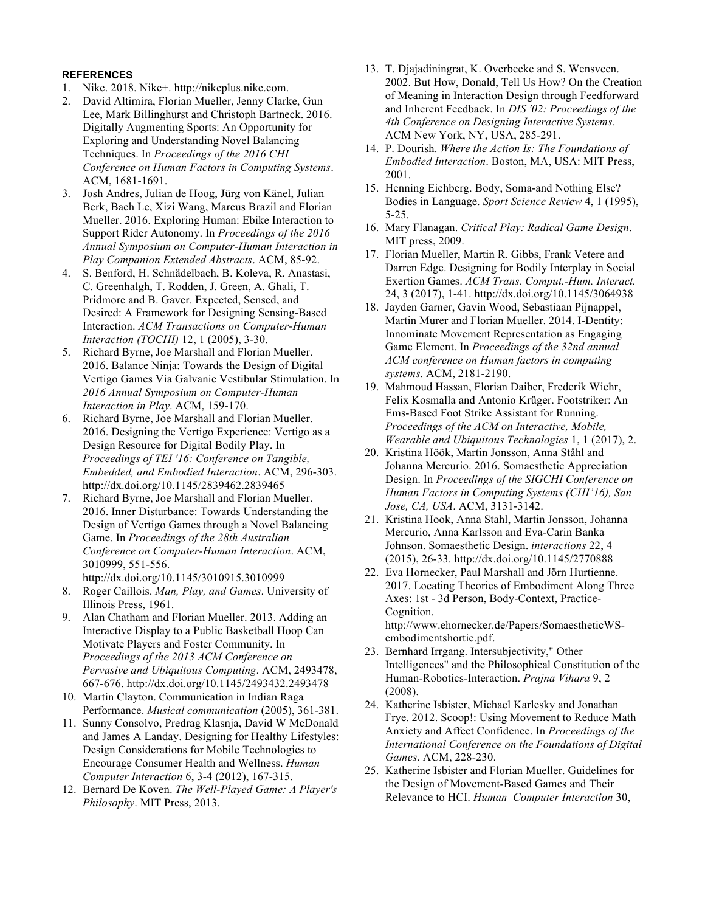# **REFERENCES**

- 1. Nike. 2018. Nike+. http://nikeplus.nike.com.
- 2. David Altimira, Florian Mueller, Jenny Clarke, Gun Lee, Mark Billinghurst and Christoph Bartneck. 2016. Digitally Augmenting Sports: An Opportunity for Exploring and Understanding Novel Balancing Techniques. In *Proceedings of the 2016 CHI Conference on Human Factors in Computing Systems*. ACM, 1681-1691.
- 3. Josh Andres, Julian de Hoog, Jürg von Känel, Julian Berk, Bach Le, Xizi Wang, Marcus Brazil and Florian Mueller. 2016. Exploring Human: Ebike Interaction to Support Rider Autonomy. In *Proceedings of the 2016 Annual Symposium on Computer-Human Interaction in Play Companion Extended Abstracts*. ACM, 85-92.
- 4. S. Benford, H. Schnädelbach, B. Koleva, R. Anastasi, C. Greenhalgh, T. Rodden, J. Green, A. Ghali, T. Pridmore and B. Gaver. Expected, Sensed, and Desired: A Framework for Designing Sensing-Based Interaction. *ACM Transactions on Computer-Human Interaction (TOCHI)* 12, 1 (2005), 3-30.
- 5. Richard Byrne, Joe Marshall and Florian Mueller. 2016. Balance Ninja: Towards the Design of Digital Vertigo Games Via Galvanic Vestibular Stimulation. In *2016 Annual Symposium on Computer-Human Interaction in Play*. ACM, 159-170.
- 6. Richard Byrne, Joe Marshall and Florian Mueller. 2016. Designing the Vertigo Experience: Vertigo as a Design Resource for Digital Bodily Play. In *Proceedings of TEI '16: Conference on Tangible, Embedded, and Embodied Interaction*. ACM, 296-303. http://dx.doi.org/10.1145/2839462.2839465
- 7. Richard Byrne, Joe Marshall and Florian Mueller. 2016. Inner Disturbance: Towards Understanding the Design of Vertigo Games through a Novel Balancing Game. In *Proceedings of the 28th Australian Conference on Computer-Human Interaction*. ACM, 3010999, 551-556. http://dx.doi.org/10.1145/3010915.3010999
- 8. Roger Caillois. *Man, Play, and Games*. University of Illinois Press, 1961.
- 9. Alan Chatham and Florian Mueller. 2013. Adding an Interactive Display to a Public Basketball Hoop Can Motivate Players and Foster Community. In *Proceedings of the 2013 ACM Conference on Pervasive and Ubiquitous Computing*. ACM, 2493478, 667-676. http://dx.doi.org/10.1145/2493432.2493478
- 10. Martin Clayton. Communication in Indian Raga Performance. *Musical communication* (2005), 361-381.
- 11. Sunny Consolvo, Predrag Klasnja, David W McDonald and James A Landay. Designing for Healthy Lifestyles: Design Considerations for Mobile Technologies to Encourage Consumer Health and Wellness. *Human– Computer Interaction* 6, 3-4 (2012), 167-315.
- 12. Bernard De Koven. *The Well-Played Game: A Player's Philosophy*. MIT Press, 2013.
- 13. T. Djajadiningrat, K. Overbeeke and S. Wensveen. 2002. But How, Donald, Tell Us How? On the Creation of Meaning in Interaction Design through Feedforward and Inherent Feedback. In *DIS '02: Proceedings of the 4th Conference on Designing Interactive Systems*. ACM New York, NY, USA, 285-291.
- 14. P. Dourish. *Where the Action Is: The Foundations of Embodied Interaction*. Boston, MA, USA: MIT Press, 2001.
- 15. Henning Eichberg. Body, Soma-and Nothing Else? Bodies in Language. *Sport Science Review* 4, 1 (1995), 5-25.
- 16. Mary Flanagan. *Critical Play: Radical Game Design*. MIT press, 2009.
- 17. Florian Mueller, Martin R. Gibbs, Frank Vetere and Darren Edge. Designing for Bodily Interplay in Social Exertion Games. *ACM Trans. Comput.-Hum. Interact.*  24, 3 (2017), 1-41. http://dx.doi.org/10.1145/3064938
- 18. Jayden Garner, Gavin Wood, Sebastiaan Pijnappel, Martin Murer and Florian Mueller. 2014. I-Dentity: Innominate Movement Representation as Engaging Game Element. In *Proceedings of the 32nd annual ACM conference on Human factors in computing systems*. ACM, 2181-2190.
- 19. Mahmoud Hassan, Florian Daiber, Frederik Wiehr, Felix Kosmalla and Antonio Krüger. Footstriker: An Ems-Based Foot Strike Assistant for Running. *Proceedings of the ACM on Interactive, Mobile, Wearable and Ubiquitous Technologies* 1, 1 (2017), 2.
- 20. Kristina Höök, Martin Jonsson, Anna Ståhl and Johanna Mercurio. 2016. Somaesthetic Appreciation Design. In *Proceedings of the SIGCHI Conference on Human Factors in Computing Systems (CHI'16), San Jose, CA, USA*. ACM, 3131-3142.
- 21. Kristina Hook, Anna Stahl, Martin Jonsson, Johanna Mercurio, Anna Karlsson and Eva-Carin Banka Johnson. Somaesthetic Design. *interactions* 22, 4 (2015), 26-33. http://dx.doi.org/10.1145/2770888
- 22. Eva Hornecker, Paul Marshall and Jörn Hurtienne. 2017. Locating Theories of Embodiment Along Three Axes: 1st - 3d Person, Body-Context, Practice-Cognition. http://www.ehornecker.de/Papers/SomaestheticWS-
- embodimentshortie.pdf. 23. Bernhard Irrgang. Intersubjectivity," Other Intelligences" and the Philosophical Constitution of the Human-Robotics-Interaction. *Prajna Vihara* 9, 2 (2008).
- 24. Katherine Isbister, Michael Karlesky and Jonathan Frye. 2012. Scoop!: Using Movement to Reduce Math Anxiety and Affect Confidence. In *Proceedings of the International Conference on the Foundations of Digital Games*. ACM, 228-230.
- 25. Katherine Isbister and Florian Mueller. Guidelines for the Design of Movement-Based Games and Their Relevance to HCI. *Human–Computer Interaction* 30,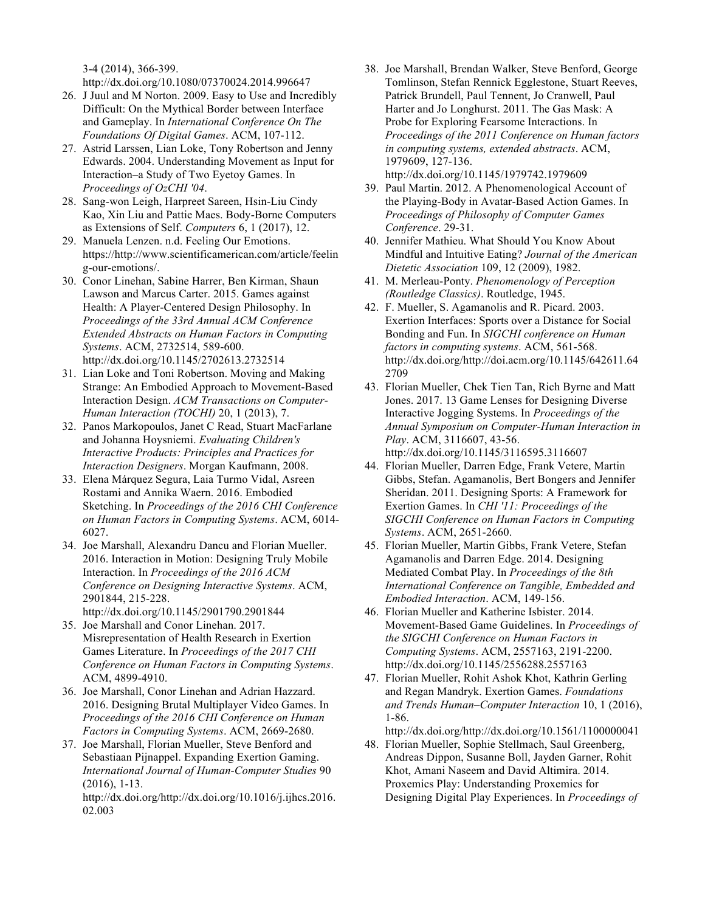3-4 (2014), 366-399.

http://dx.doi.org/10.1080/07370024.2014.996647

- 26. J Juul and M Norton. 2009. Easy to Use and Incredibly Difficult: On the Mythical Border between Interface and Gameplay. In *International Conference On The Foundations Of Digital Games*. ACM, 107-112.
- 27. Astrid Larssen, Lian Loke, Tony Robertson and Jenny Edwards. 2004. Understanding Movement as Input for Interaction–a Study of Two Eyetoy Games. In *Proceedings of OzCHI '04*.
- 28. Sang-won Leigh, Harpreet Sareen, Hsin-Liu Cindy Kao, Xin Liu and Pattie Maes. Body-Borne Computers as Extensions of Self. *Computers* 6, 1 (2017), 12.
- 29. Manuela Lenzen. n.d. Feeling Our Emotions. https://http://www.scientificamerican.com/article/feelin g-our-emotions/.
- 30. Conor Linehan, Sabine Harrer, Ben Kirman, Shaun Lawson and Marcus Carter. 2015. Games against Health: A Player-Centered Design Philosophy. In *Proceedings of the 33rd Annual ACM Conference Extended Abstracts on Human Factors in Computing Systems*. ACM, 2732514, 589-600. http://dx.doi.org/10.1145/2702613.2732514
- 31. Lian Loke and Toni Robertson. Moving and Making Strange: An Embodied Approach to Movement-Based Interaction Design. *ACM Transactions on Computer-Human Interaction (TOCHI)* 20, 1 (2013), 7.
- 32. Panos Markopoulos, Janet C Read, Stuart MacFarlane and Johanna Hoysniemi. *Evaluating Children's Interactive Products: Principles and Practices for Interaction Designers*. Morgan Kaufmann, 2008.
- 33. Elena Márquez Segura, Laia Turmo Vidal, Asreen Rostami and Annika Waern. 2016. Embodied Sketching. In *Proceedings of the 2016 CHI Conference on Human Factors in Computing Systems*. ACM, 6014- 6027.
- 34. Joe Marshall, Alexandru Dancu and Florian Mueller. 2016. Interaction in Motion: Designing Truly Mobile Interaction. In *Proceedings of the 2016 ACM Conference on Designing Interactive Systems*. ACM, 2901844, 215-228.
- http://dx.doi.org/10.1145/2901790.2901844 35. Joe Marshall and Conor Linehan. 2017.
- Misrepresentation of Health Research in Exertion Games Literature. In *Proceedings of the 2017 CHI Conference on Human Factors in Computing Systems*. ACM, 4899-4910.
- 36. Joe Marshall, Conor Linehan and Adrian Hazzard. 2016. Designing Brutal Multiplayer Video Games. In *Proceedings of the 2016 CHI Conference on Human Factors in Computing Systems*. ACM, 2669-2680.
- 37. Joe Marshall, Florian Mueller, Steve Benford and Sebastiaan Pijnappel. Expanding Exertion Gaming. *International Journal of Human-Computer Studies* 90 (2016), 1-13.

http://dx.doi.org/http://dx.doi.org/10.1016/j.ijhcs.2016. 02.003

- 38. Joe Marshall, Brendan Walker, Steve Benford, George Tomlinson, Stefan Rennick Egglestone, Stuart Reeves, Patrick Brundell, Paul Tennent, Jo Cranwell, Paul Harter and Jo Longhurst. 2011. The Gas Mask: A Probe for Exploring Fearsome Interactions. In *Proceedings of the 2011 Conference on Human factors in computing systems, extended abstracts*. ACM, 1979609, 127-136. http://dx.doi.org/10.1145/1979742.1979609
- 39. Paul Martin. 2012. A Phenomenological Account of the Playing-Body in Avatar-Based Action Games. In *Proceedings of Philosophy of Computer Games Conference*. 29-31.
- 40. Jennifer Mathieu. What Should You Know About Mindful and Intuitive Eating? *Journal of the American Dietetic Association* 109, 12 (2009), 1982.
- 41. M. Merleau-Ponty. *Phenomenology of Perception (Routledge Classics)*. Routledge, 1945.
- 42. F. Mueller, S. Agamanolis and R. Picard. 2003. Exertion Interfaces: Sports over a Distance for Social Bonding and Fun. In *SIGCHI conference on Human factors in computing systems*. ACM, 561-568. http://dx.doi.org/http://doi.acm.org/10.1145/642611.64 2709
- 43. Florian Mueller, Chek Tien Tan, Rich Byrne and Matt Jones. 2017. 13 Game Lenses for Designing Diverse Interactive Jogging Systems. In *Proceedings of the Annual Symposium on Computer-Human Interaction in Play*. ACM, 3116607, 43-56. http://dx.doi.org/10.1145/3116595.3116607
- 44. Florian Mueller, Darren Edge, Frank Vetere, Martin Gibbs, Stefan. Agamanolis, Bert Bongers and Jennifer Sheridan. 2011. Designing Sports: A Framework for Exertion Games. In *CHI '11: Proceedings of the SIGCHI Conference on Human Factors in Computing Systems*. ACM, 2651-2660.
- 45. Florian Mueller, Martin Gibbs, Frank Vetere, Stefan Agamanolis and Darren Edge. 2014. Designing Mediated Combat Play. In *Proceedings of the 8th International Conference on Tangible, Embedded and Embodied Interaction*. ACM, 149-156.
- 46. Florian Mueller and Katherine Isbister. 2014. Movement-Based Game Guidelines. In *Proceedings of the SIGCHI Conference on Human Factors in Computing Systems*. ACM, 2557163, 2191-2200. http://dx.doi.org/10.1145/2556288.2557163
- 47. Florian Mueller, Rohit Ashok Khot, Kathrin Gerling and Regan Mandryk. Exertion Games. *Foundations and Trends Human–Computer Interaction* 10, 1 (2016), 1-86.

http://dx.doi.org/http://dx.doi.org/10.1561/1100000041

48. Florian Mueller, Sophie Stellmach, Saul Greenberg, Andreas Dippon, Susanne Boll, Jayden Garner, Rohit Khot, Amani Naseem and David Altimira. 2014. Proxemics Play: Understanding Proxemics for Designing Digital Play Experiences. In *Proceedings of*